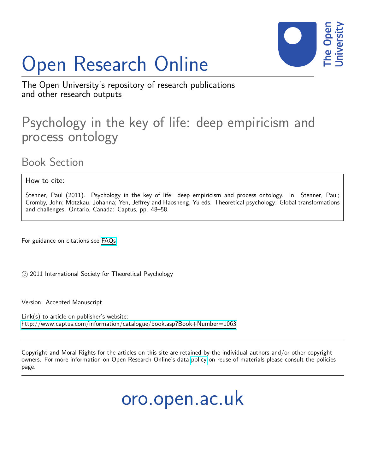# Open Research Online



The Open University's repository of research publications and other research outputs

## Psychology in the key of life: deep empiricism and process ontology

Book Section

How to cite:

Stenner, Paul (2011). Psychology in the key of life: deep empiricism and process ontology. In: Stenner, Paul; Cromby, John; Motzkau, Johanna; Yen, Jeffrey and Haosheng, Yu eds. Theoretical psychology: Global transformations and challenges. Ontario, Canada: Captus, pp. 48–58.

For guidance on citations see [FAQs.](http://oro.open.ac.uk/help/helpfaq.html)

(c) 2011 International Society for Theoretical Psychology

Version: Accepted Manuscript

Link(s) to article on publisher's website: <http://www.captus.com/information/catalogue/book.asp?Book+Number=1063>

Copyright and Moral Rights for the articles on this site are retained by the individual authors and/or other copyright owners. For more information on Open Research Online's data [policy](http://oro.open.ac.uk/policies.html) on reuse of materials please consult the policies page.

oro.open.ac.uk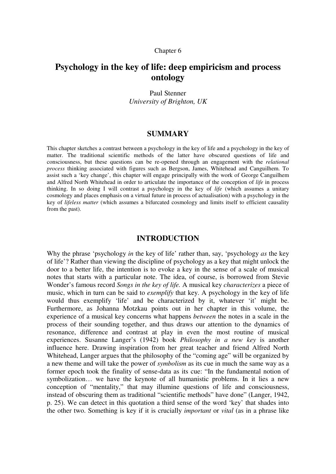#### Chapter 6

### **Psychology in the key of life: deep empiricism and process ontology**

Paul Stenner *University of Brighton, UK*

#### **SUMMARY**

This chapter sketches a contrast between a psychology in the key of life and a psychology in the key of matter. The traditional scientific methods of the latter have obscured questions of life and consciousness, but these questions can be re-opened through an engagement with the *relational process* thinking associated with figures such as Bergson, James, Whitehead and Canguilhem. To assist such a 'key change', this chapter will engage principally with the work of George Canguilhem and Alfred North Whitehead in order to articulate the importance of the conception of *life* in process thinking. In so doing I will contrast a psychology in the key of *life* (which assumes a unitary cosmology and places emphasis on a virtual future in process of actualisation) with a psychology in the key of *lifeless matter* (which assumes a bifurcated cosmology and limits itself to efficient causality from the past).

#### **INTRODUCTION**

Why the phrase 'psychology *in* the key of life' rather than, say, 'psychology *as* the key of life'? Rather than viewing the discipline of psychology as a key that might unlock the door to a better life, the intention is to evoke a key in the sense of a scale of musical notes that starts with a particular note. The idea, of course, is borrowed from Stevie Wonder's famous record *Songs in the key of life.* A musical key *characterizes* a piece of music, which in turn can be said to *exemplify* that key. A psychology in the key of life would thus exemplify 'life' and be characterized by it, whatever 'it' might be. Furthermore, as Johanna Motzkau points out in her chapter in this volume, the experience of a musical key concerns what happens *between* the notes in a scale in the process of their sounding together, and thus draws our attention to the dynamics of resonance, difference and contrast at play in even the most routine of musical experiences. Susanne Langer's (1942) book *Philosophy in a new key* is another influence here. Drawing inspiration from her great teacher and friend Alfred North Whitehead, Langer argues that the philosophy of the "coming age" will be organized by a new theme and will take the power of *symbolism* as its cue in much the same way as a former epoch took the finality of sense-data as its cue: "In the fundamental notion of symbolization… we have the keynote of all humanistic problems. In it lies a new conception of "mentality," that may illumine questions of life and consciousness, instead of obscuring them as traditional "scientific methods" have done" (Langer, 1942, p. 25). We can detect in this quotation a third sense of the word 'key' that shades into the other two. Something is key if it is crucially *important* or *vital* (as in a phrase like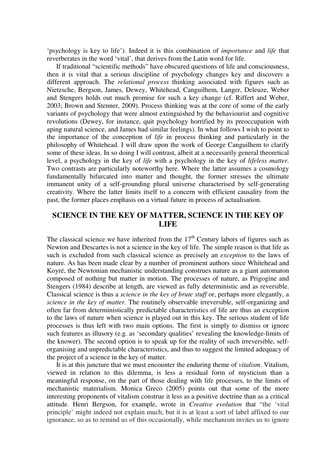'psychology is key to life'). Indeed it is this combination of *importance* and *life* that reverberates in the word 'vital', that derives from the Latin word for life.

 If traditional "scientific methods" have obscured questions of life and consciousness, then it is vital that a serious discipline of psychology changes key and discovers a different approach. The *relational process* thinking associated with figures such as Nietzsche, Bergson, James, Dewey, Whitehead, Canguilhem, Langer, Deleuze, Weber and Stengers holds out much promise for such a key change (cf. Riffert and Weber, 2003; Brown and Stenner, 2009). Process thinking was at the core of some of the early variants of psychology that were almost extinguished by the behaviourist and cognitive revolutions (Dewey, for instance, quit psychology horrified by its preoccupation with aping natural science, and James had similar feelings). In what follows I wish to point to the importance of the conception of *life* in process thinking and particularly in the philosophy of Whitehead. I will draw upon the work of George Canguilhem to clarify some of these ideas. In so doing I will contrast, albeit at a necessarily general theoretical level, a psychology in the key of *life* with a psychology in the key of *lifeless matter.* Two contrasts are particularly noteworthy here. Where the latter assumes a cosmology fundamentally bifurcated into matter and thought, the former stresses the ultimate immanent unity of a self-grounding plural universe characterised by self-generating creativity. Where the latter limits itself to a concern with efficient causality from the past, the former places emphasis on a virtual future in process of actualisation.

#### **SCIENCE IN THE KEY OF MATTER, SCIENCE IN THE KEY OF LIFE**

The classical science we have inherited from the  $17<sup>th</sup>$  Century labors of figures such as Newton and Descartes is not a science in the key of life. The simple reason is that life as such is excluded from such classical science as precisely an *exception* to the laws of nature. As has been made clear by a number of prominent authors since Whitehead and Koyré, the Newtonian mechanistic understanding construes nature as a giant automaton composed of nothing but matter in motion. The processes of nature, as Prigogine and Stengers (1984) describe at length, are viewed as fully deterministic and as reversible. Classical science is thus a *science in the key of brute stuff* or, perhaps more elegantly, a *science in the key of matter.* The routinely observable irreversible, self-organizing and often far from deterministically predictable characteristics of life are thus an exception to the laws of nature when science is played out in this key. The serious student of life processes is thus left with two main options. The first is simply to dismiss or ignore such features as illusory (e.g. as 'secondary qualities' revealing the knowledge-limits of the knower). The second option is to speak up for the reality of such irreversible, selforganising and unpredictable characteristics, and thus to suggest the limited adequacy of the project of a science in the key of matter.

It is at this juncture that we must encounter the enduring theme of *vitalism*. Vitalism, viewed in relation to this dilemma, is less a residual form of mysticism than a meaningful response, on the part of those dealing with life processes, to the limits of mechanistic materialism. Monica Greco (2005) points out that some of the more interesting proponents of vitalism construe it less as a positive doctrine than as a critical attitude. Henri Bergson, for example, wrote in *Creative evolution* that "the 'vital principle' might indeed not explain much, but it is at least a sort of label affixed to our ignorance, so as to remind us of this occasionally, while mechanism invites us to ignore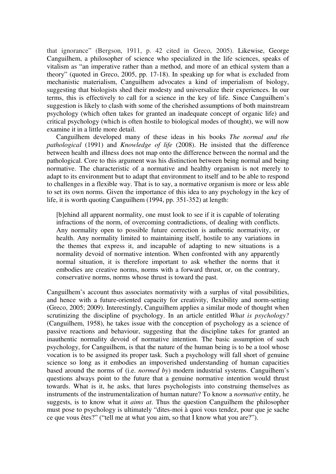that ignorance" (Bergson, 1911, p. 42 cited in Greco, 2005). Likewise, George Canguilhem, a philosopher of science who specialized in the life sciences, speaks of vitalism as "an imperative rather than a method, and more of an ethical system than a theory" (quoted in Greco, 2005, pp. 17-18). In speaking up for what is excluded from mechanistic materialism, Canguilhem advocates a kind of imperialism of biology, suggesting that biologists shed their modesty and universalize their experiences. In our terms, this is effectively to call for a science in the key of life. Since Canguilhem's suggestion is likely to clash with some of the cherished assumptions of both mainstream psychology (which often takes for granted an inadequate concept of organic life) and critical psychology (which is often hostile to biological modes of thought), we will now examine it in a little more detail.

 Canguilhem developed many of these ideas in his books *The normal and the pathological* (1991) and *Knowledge of life* (2008). He insisted that the difference between health and illness does not map onto the difference between the normal and the pathological. Core to this argument was his distinction between being normal and being normative. The characteristic of a normative and healthy organism is not merely to adapt to its environment but to adapt that environment to itself and to be able to respond to challenges in a flexible way. That is to say, a normative organism is more or less able to set its own norms. Given the importance of this idea to any psychology in the key of life, it is worth quoting Canguilhem (1994, pp. 351-352) at length:

[b]ehind all apparent normality, one must look to see if it is capable of tolerating infractions of the norm, of overcoming contradictions, of dealing with conflicts. Any normality open to possible future correction is authentic normativity, or health. Any normality limited to maintaining itself, hostile to any variations in the themes that express it, and incapable of adapting to new situations is a normality devoid of normative intention. When confronted with any apparently normal situation, it is therefore important to ask whether the norms that it embodies are creative norms, norms with a forward thrust, or, on the contrary, conservative norms, norms whose thrust is toward the past.

Canguilhem's account thus associates normativity with a surplus of vital possibilities, and hence with a future-oriented capacity for creativity, flexibility and norm-setting (Greco, 2005; 2009). Interestingly, Canguilhem applies a similar mode of thought when scrutinizing the discipline of psychology. In an article entitled *What is psychology?* (Canguilhem, 1958), he takes issue with the conception of psychology as a science of passive reactions and behaviour, suggesting that the discipline takes for granted an inauthentic normality devoid of normative intention. The basic assumption of such psychology, for Canguilhem, is that the nature of the human being is to be a tool whose vocation is to be assigned its proper task. Such a psychology will fall short of genuine science so long as it embodies an impoverished understanding of human capacities based around the norms of (i.e. *normed by*) modern industrial systems. Canguilhem's questions always point to the future that a genuine normative intention would thrust towards. What is it, he asks, that lures psychologists into construing themselves as instruments of the instrumentalization of human nature? To know a *normative* entity, he suggests, is to know what it *aims at*. Thus the question Canguilhem the philosopher must pose to psychology is ultimately "dites-moi à quoi vous tendez, pour que je sache ce que vous êtes?" ("tell me at what you aim, so that I know what you are?").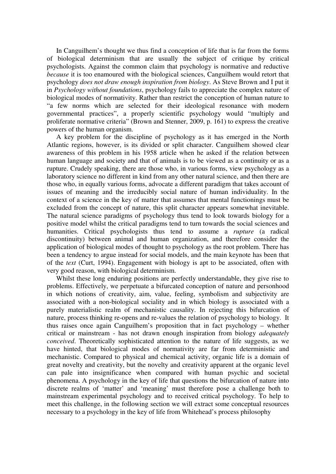In Canguilhem's thought we thus find a conception of life that is far from the forms of biological determinism that are usually the subject of critique by critical psychologists. Against the common claim that psychology is normative and reductive *because* it is too enamoured with the biological sciences, Canguilhem would retort that psychology *does not draw enough inspiration from biology*. As Steve Brown and I put it in *Psychology without foundations*, psychology fails to appreciate the complex nature of biological modes of normativity. Rather than restrict the conception of human nature to "a few norms which are selected for their ideological resonance with modern governmental practices", a properly scientific psychology would "multiply and proliferate normative criteria" (Brown and Stenner, 2009, p. 161) to express the creative powers of the human organism.

 A key problem for the discipline of psychology as it has emerged in the North Atlantic regions, however, is its divided or split character. Canguilhem showed clear awareness of this problem in his 1958 article when he asked if the relation between human language and society and that of animals is to be viewed as a continuity or as a rupture. Crudely speaking, there are those who, in various forms, view psychology as a laboratory science no different in kind from any other natural science, and then there are those who, in equally various forms, advocate a different paradigm that takes account of issues of meaning and the irreducibly social nature of human individuality. In the context of a science in the key of matter that assumes that mental functionings must be excluded from the concept of nature, this split character appears somewhat inevitable. The natural science paradigms of psychology thus tend to look towards biology for a positive model whilst the critical paradigms tend to turn towards the social sciences and humanities. Critical psychologists thus tend to assume a *rupture* (a radical discontinuity) between animal and human organization, and therefore consider the application of biological modes of thought to psychology as the root problem. There has been a tendency to argue instead for social models, and the main keynote has been that of the *text* (Curt, 1994). Engagement with biology is apt to be associated, often with very good reason, with biological determinism.

 Whilst these long enduring positions are perfectly understandable, they give rise to problems. Effectively, we perpetuate a bifurcated conception of nature and personhood in which notions of creativity, aim, value, feeling, symbolism and subjectivity are associated with a non-biological sociality and in which biology is associated with a purely materialistic realm of mechanistic causality. In rejecting this bifurcation of nature, process thinking re-opens and re-values the relation of psychology to biology. It thus raises once again Canguilhem's proposition that in fact psychology – whether critical or mainstream - has not drawn enough inspiration from biology *adequately conceived*. Theoretically sophisticated attention to the nature of life suggests, as we have hinted, that biological modes of normativity are far from deterministic and mechanistic. Compared to physical and chemical activity, organic life is a domain of great novelty and creativity, but the novelty and creativity apparent at the organic level can pale into insignificance when compared with human psychic and societal phenomena. A psychology in the key of life that questions the bifurcation of nature into discrete realms of 'matter' and 'meaning' must therefore pose a challenge both to mainstream experimental psychology and to received critical psychology. To help to meet this challenge, in the following section we will extract some conceptual resources necessary to a psychology in the key of life from Whitehead's process philosophy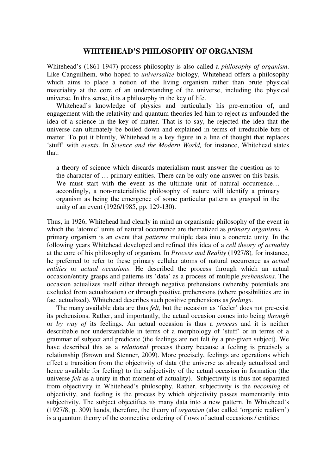#### **WHITEHEAD'S PHILOSOPHY OF ORGANISM**

Whitehead's (1861-1947) process philosophy is also called a *philosophy of organism*. Like Canguilhem, who hoped to *universalize* biology, Whitehead offers a philosophy which aims to place a notion of the living organism rather than brute physical materiality at the core of an understanding of the universe, including the physical universe. In this sense, it is a philosophy in the key of life.

Whitehead's knowledge of physics and particularly his pre-emption of, and engagement with the relativity and quantum theories led him to reject as unfounded the idea of a science in the key of matter. That is to say, he rejected the idea that the universe can ultimately be boiled down and explained in terms of irreducible bits of matter. To put it bluntly, Whitehead is a key figure in a line of thought that replaces 'stuff' with *events*. In *Science and the Modern World,* for instance, Whitehead states that:

a theory of science which discards materialism must answer the question as to the character of … primary entities. There can be only one answer on this basis. We must start with the event as the ultimate unit of natural occurrence... accordingly, a non-materialistic philosophy of nature will identify a primary organism as being the emergence of some particular pattern as grasped in the unity of an event (1926/1985, pp. 129-130).

Thus, in 1926, Whitehead had clearly in mind an organismic philosophy of the event in which the 'atomic' units of natural occurrence are thematized as *primary organisms*. A primary organism is an event that *patterns* multiple data into a concrete unity. In the following years Whitehead developed and refined this idea of a *cell theory of actuality*  at the core of his philosophy of organism. In *Process and Reality* (1927/8)*,* for instance, he preferred to refer to these primary cellular atoms of natural occurrence as *actual entities* or *actual occasions*. He described the process through which an actual occasion/entity grasps and patterns its 'data' as a process of multiple *prehensions*. The occasion actualizes itself either through negative prehensions (whereby potentials are excluded from actualization) or through positive prehensions (where possibilities are in fact actualized). Whitehead describes such positive prehensions as *feelings*.

The many available data are thus *felt,* but the occasion as 'feeler' does not pre-exist its prehensions. Rather, and importantly, the actual occasion comes into being *through*  or *by way of* its feelings. An actual occasion is thus a *process* and it is neither describable nor understandable in terms of a morphology of 'stuff' or in terms of a grammar of subject and predicate (the feelings are not felt *by* a pre-given subject). We have described this as a *relational* process theory because a feeling is precisely a relationship (Brown and Stenner, 2009). More precisely, feelings are operations which effect a transition from the objectivity of data (the universe as already actualized and hence available for feeling) to the subjectivity of the actual occasion in formation (the universe *felt* as a unity in that moment of actuality). Subjectivity is thus not separated from objectivity in Whitehead's philosophy. Rather, subjectivity is the *becoming* of objectivity, and feeling is the process by which objectivity passes momentarily into subjectivity. The subject objectifies its many data into a new pattern. In Whitehead's (1927/8, p. 309) hands, therefore, the theory of *organism* (also called 'organic realism') is a quantum theory of the connective ordering of flows of actual occasions / entities: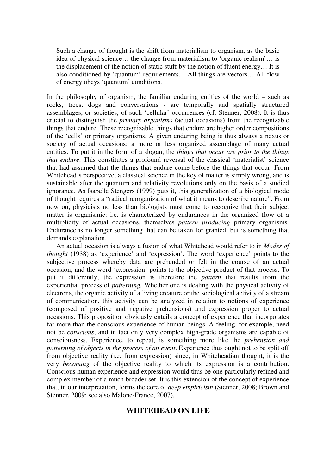Such a change of thought is the shift from materialism to organism, as the basic idea of physical science… the change from materialism to 'organic realism'… is the displacement of the notion of static stuff by the notion of fluent energy… It is also conditioned by 'quantum' requirements… All things are vectors… All flow of energy obeys 'quantum' conditions.

In the philosophy of organism, the familiar enduring entities of the world – such as rocks, trees, dogs and conversations - are temporally and spatially structured assemblages, or societies, of such 'cellular' occurrences (cf. Stenner, 2008). It is thus crucial to distinguish the *primary organisms* (actual occasions) from the recognizable things that endure. These recognizable things that endure are higher order compositions of the 'cells' or primary organisms. A given enduring being is thus always a nexus or society of actual occasions: a more or less organized assemblage of many actual entities. To put it in the form of a slogan, the *things that occur are prior to the things that endure*. This constitutes a profound reversal of the classical 'materialist' science that had assumed that the things that endure come before the things that occur. From Whitehead's perspective, a classical science in the key of matter is simply wrong, and is sustainable after the quantum and relativity revolutions only on the basis of a studied ignorance. As Isabelle Stengers (1999) puts it, this generalization of a biological mode of thought requires a "radical reorganization of what it means to describe nature". From now on, physicists no less than biologists must come to recognize that their subject matter is organismic: i.e. is characterized by endurances in the organized flow of a multiplicity of actual occasions, themselves *pattern producing* primary organisms. Endurance is no longer something that can be taken for granted, but is something that demands explanation.

 An actual occasion is always a fusion of what Whitehead would refer to in *Modes of thought* (1938) as 'experience' and 'expression'. The word 'experience' points to the subjective process whereby data are prehended or felt in the course of an actual occasion, and the word 'expression' points to the objective product of that process. To put it differently, the expression is therefore the *pattern* that results from the experiential process of *patterning.* Whether one is dealing with the physical activity of electrons, the organic activity of a living creature or the sociological activity of a stream of communication, this activity can be analyzed in relation to notions of experience (composed of positive and negative prehensions) and expression proper to actual occasions. This proposition obviously entails a concept of experience that incorporates far more than the conscious experience of human beings. A feeling, for example, need not be *conscious*, and in fact only very complex high-grade organisms are capable of consciousness. Experience, to repeat, is something more like the *prehension and patterning of objects in the process of an event*. Experience thus ought not to be split off from objective reality (i.e. from expression) since, in Whiteheadian thought, it is the very *becoming* of the objective reality to which its expression is a contribution. Conscious human experience and expression would thus be one particularly refined and complex member of a much broader set. It is this extension of the concept of experience that, in our interpretation, forms the core of *deep empiricism* (Stenner, 2008; Brown and Stenner, 2009; see also Malone-France, 2007).

#### **WHITEHEAD ON LIFE**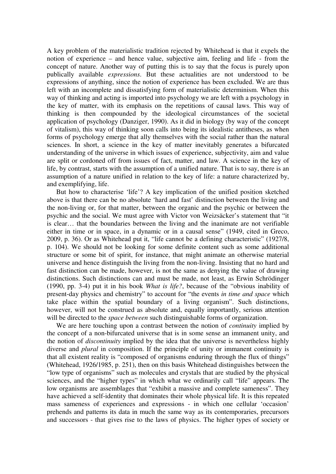A key problem of the materialistic tradition rejected by Whitehead is that it expels the notion of experience – and hence value, subjective aim, feeling and life - from the concept of nature. Another way of putting this is to say that the focus is purely upon publically available *expressions*. But these actualities are not understood to be expressions of anything, since the notion of experience has been excluded. We are thus left with an incomplete and dissatisfying form of materialistic determinism. When this way of thinking and acting is imported into psychology we are left with a psychology in the key of matter, with its emphasis on the repetitions of causal laws. This way of thinking is then compounded by the ideological circumstances of the societal application of psychology (Danziger, 1990). As it did in biology (by way of the concept of vitalism), this way of thinking soon calls into being its idealistic antitheses, as when forms of psychology emerge that ally themselves with the social rather than the natural sciences. In short, a science in the key of matter inevitably generates a bifurcated understanding of the universe in which issues of experience, subjectivity, aim and value are split or cordoned off from issues of fact, matter, and law. A science in the key of life, by contrast, starts with the assumption of a unified nature. That is to say, there is an assumption of a nature unified in relation to the key of life: a nature characterized by, and exemplifying, life.

 But how to characterise 'life'? A key implication of the unified position sketched above is that there can be no absolute 'hard and fast' distinction between the living and the non-living or, for that matter, between the organic and the psychic or between the psychic and the social. We must agree with Victor von Weizsäcker's statement that "it is clear… that the boundaries between the living and the inanimate are not verifiable either in time or in space, in a dynamic or in a causal sense" (1949, cited in Greco, 2009, p. 36). Or as Whitehead put it, "life cannot be a defining characteristic" (1927/8, p. 104). We should not be looking for some definite content such as some additional structure or some bit of spirit, for instance, that might animate an otherwise material universe and hence distinguish the living from the non-living. Insisting that no hard and fast distinction can be made, however, is not the same as denying the value of drawing distinctions. Such distinctions can and must be made, not least, as Erwin Schrödinger (1990, pp. 3-4) put it in his book *What is life?*, because of the "obvious inability of present-day physics and chemistry" to account for "the events *in time and space* which take place within the spatial boundary of a living organism". Such distinctions, however, will not be construed as absolute and, equally importantly, serious attention will be directed to the *space between* such distinguishable forms of organization.

 We are here touching upon a contrast between the notion of *continuity* implied by the concept of a non-bifurcated universe that is in some sense an immanent unity, and the notion of *discontinuity* implied by the idea that the universe is nevertheless highly diverse and *plural* in composition. If the principle of unity or immanent continuity is that all existent reality is "composed of organisms enduring through the flux of things" (Whitehead, 1926/1985, p. 251), then on this basis Whitehead distinguishes between the "low type of organisms" such as molecules and crystals that are studied by the physical sciences, and the "higher types" in which what we ordinarily call "life" appears. The low organisms are assemblages that "exhibit a massive and complete sameness". They have achieved a self-identity that dominates their whole physical life. It is this repeated mass sameness of experiences and expressions - in which one cellular 'occasion' prehends and patterns its data in much the same way as its contemporaries, precursors and successors - that gives rise to the laws of physics. The higher types of society or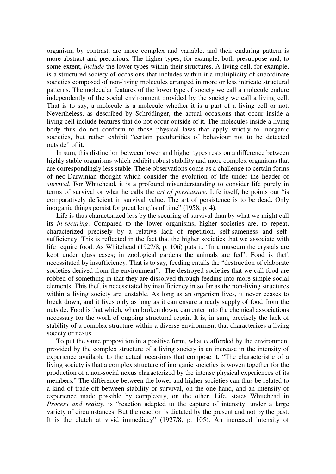organism, by contrast, are more complex and variable, and their enduring pattern is more abstract and precarious. The higher types, for example, both presuppose and, to some extent, *include* the lower types within their structures. A living cell, for example, is a structured society of occasions that includes within it a multiplicity of subordinate societies composed of non-living molecules arranged in more or less intricate structural patterns. The molecular features of the lower type of society we call a molecule endure independently of the social environment provided by the society we call a living cell. That is to say, a molecule is a molecule whether it is a part of a living cell or not. Nevertheless, as described by Schrödinger, the actual occasions that occur inside a living cell include features that do not occur outside of it. The molecules inside a living body thus do not conform to those physical laws that apply strictly to inorganic societies, but rather exhibit "certain peculiarities of behaviour not to be detected outside" of it.

 In sum, this distinction between lower and higher types rests on a difference between highly stable organisms which exhibit robust stability and more complex organisms that are correspondingly less stable. These observations come as a challenge to certain forms of neo-Darwinian thought which consider the evolution of life under the header of *survival*. For Whitehead, it is a profound misunderstanding to consider life purely in terms of survival or what he calls the *art of persistence*. Life itself, he points out "is comparatively deficient in survival value. The art of persistence is to be dead. Only inorganic things persist for great lengths of time" (1958, p. 4).

 Life is thus characterized less by the securing of survival than by what we might call its *in-securing*. Compared to the lower organisms, higher societies are, to repeat, characterized precisely by a relative lack of repetition, self-sameness and selfsufficiency. This is reflected in the fact that the higher societies that we associate with life require food. As Whitehead (1927/8, p. 106) puts it, "In a museum the crystals are kept under glass cases; in zoological gardens the animals are fed". Food is theft necessitated by insufficiency. That is to say, feeding entails the "destruction of elaborate societies derived from the environment". The destroyed societies that we call food are robbed of something in that they are dissolved through feeding into more simple social elements. This theft is necessitated by insufficiency in so far as the non-living structures within a living society are unstable. As long as an organism lives, it never ceases to break down, and it lives only as long as it can ensure a ready supply of food from the outside. Food is that which, when broken down, can enter into the chemical associations necessary for the work of ongoing structural repair. It is, in sum, precisely the lack of stability of a complex structure within a diverse environment that characterizes a living society or nexus.

 To put the same proposition in a positive form, what *is* afforded by the environment provided by the complex structure of a living society is an increase in the intensity of experience available to the actual occasions that compose it. "The characteristic of a living society is that a complex structure of inorganic societies is woven together for the production of a non-social nexus characterized by the intense physical experiences of its members." The difference between the lower and higher societies can thus be related to a kind of trade-off between stability or survival, on the one hand, and an intensity of experience made possible by complexity, on the other. Life, states Whitehead in *Process and reality*, is "reaction adapted to the capture of intensity, under a large variety of circumstances. But the reaction is dictated by the present and not by the past. It is the clutch at vivid immediacy" (1927/8, p. 105). An increased intensity of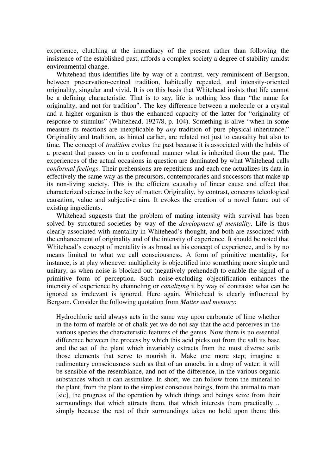experience, clutching at the immediacy of the present rather than following the insistence of the established past, affords a complex society a degree of stability amidst environmental change.

 Whitehead thus identifies life by way of a contrast, very reminiscent of Bergson, between preservation-centred tradition, habitually repeated, and intensity-oriented originality, singular and vivid. It is on this basis that Whitehead insists that life cannot be a defining characteristic. That is to say, life is nothing less than "the name for originality, and not for tradition". The key difference between a molecule or a crystal and a higher organism is thus the enhanced capacity of the latter for "originality of response to stimulus" (Whitehead, 1927/8, p. 104). Something is alive "when in some measure its reactions are inexplicable by *any* tradition of pure physical inheritance." Originality and tradition, as hinted earlier, are related not just to causality but also to time. The concept of *tradition* evokes the past because it is associated with the habits of a present that passes on in a conformal manner what is inherited from the past. The experiences of the actual occasions in question are dominated by what Whitehead calls *conformal feelings*. Their prehensions are repetitious and each one actualizes its data in effectively the same way as the precursors, contemporaries and successors that make up its non-living society. This is the efficient causality of linear cause and effect that characterized science in the key of matter. Originality, by contrast, concerns teleological causation, value and subjective aim. It evokes the creation of a novel future out of existing ingredients.

 Whitehead suggests that the problem of mating intensity with survival has been solved by structured societies by way of the *development of mentality*. Life is thus clearly associated with mentality in Whitehead's thought, and both are associated with the enhancement of originality and of the intensity of experience. It should be noted that Whitehead's concept of mentality is as broad as his concept of experience, and is by no means limited to what we call consciousness. A form of primitive mentality, for instance, is at play whenever multiplicity is objectified into something more simple and unitary, as when noise is blocked out (negatively prehended) to enable the signal of a primitive form of perception. Such noise-excluding objectification enhances the intensity of experience by channeling or *canalizing* it by way of contrasts: what can be ignored as irrelevant is ignored. Here again, Whitehead is clearly influenced by Bergson. Consider the following quotation from *Matter and memory*:

Hydrochloric acid always acts in the same way upon carbonate of lime whether in the form of marble or of chalk yet we do not say that the acid perceives in the various species the characteristic features of the genus. Now there is no essential difference between the process by which this acid picks out from the salt its base and the act of the plant which invariably extracts from the most diverse soils those elements that serve to nourish it. Make one more step; imagine a rudimentary consciousness such as that of an amoeba in a drop of water: it will be sensible of the resemblance, and not of the difference, in the various organic substances which it can assimilate. In short, we can follow from the mineral to the plant, from the plant to the simplest conscious beings, from the animal to man [sic], the progress of the operation by which things and beings seize from their surroundings that which attracts them, that which interests them practically... simply because the rest of their surroundings takes no hold upon them: this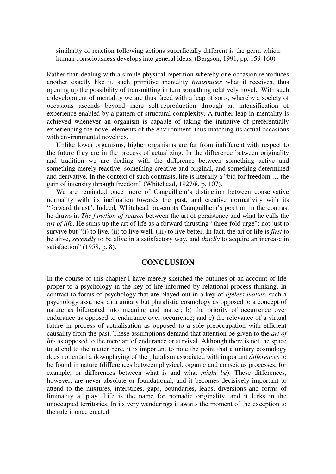similarity of reaction following actions superficially different is the germ which human consciousness develops into general ideas. (Bergson, 1991, pp. 159-160)

Rather than dealing with a simple physical repetition whereby one occasion reproduces another exactly like it, such primitive mentality *transmutes* what it receives, thus opening up the possibility of transmitting in turn something relatively novel. With such a development of mentality we are thus faced with a leap of sorts, whereby a society of occasions ascends beyond mere self-reproduction through an intensification of experience enabled by a pattern of structural complexity. A further leap in mentality is achieved whenever an organism is capable of taking the initiative of preferentially experiencing the novel elements of the environment, thus matching its actual occasions with environmental novelties.

 Unlike lower organisms, higher organisms are far from indifferent with respect to the future they are in the process of actualizing. In the difference between originality and tradition we are dealing with the difference between something active and something merely reactive, something creative and original, and something determined and derivative. In the context of such contrasts, life is literally a "bid for freedom … the gain of intensity through freedom" (Whitehead, 1927/8, p. 107).

 We are reminded once more of Canguilhem's distinction between conservative normality with its inclination towards the past, and creative normativity with its "forward thrust". Indeed, Whitehead pre-empts Caunguilhem's position in the contrast he draws in *The function of reason* between the art of persistence and what he calls the *art of life*. He sums up the art of life as a forward thrusting "three-fold urge": not just to survive but "(i) to live, (ii) to live well, (iii) to live better. In fact, the art of life is *first* to be alive, *secondly* to be alive in a satisfactory way, and *thirdly* to acquire an increase in satisfaction" (1958, p. 8).

#### **CONCLUSION**

In the course of this chapter I have merely sketched the outlines of an account of life proper to a psychology in the key of life informed by relational process thinking. In contrast to forms of psychology that are played out in a key of *lifeless matter*, such a psychology assumes: a) a unitary but pluralistic cosmology as opposed to a concept of nature as bifurcated into meaning and matter; b) the priority of occurrence over endurance as opposed to endurance over occurrence; and c) the relevance of a virtual future in process of actualisation as opposed to a sole preoccupation with efficient causality from the past. These assumptions demand that attention be given to the *art of life* as opposed to the mere art of endurance or survival. Although there is not the space to attend to the matter here, it is important to note the point that a unitary cosmology does not entail a downplaying of the pluralism associated with important *differences* to be found in nature (differences between physical, organic and conscious processes, for example, or differences between what is and what *might be*). These differences, however, are never absolute or foundational, and it becomes decisively important to attend to the mixtures, interstices, gaps, boundaries, leaps, diversions and forms of liminality at play. Life is the name for nomadic originality, and it lurks in the unoccupied territories. In its very wanderings it awaits the moment of the exception to the rule it once created: